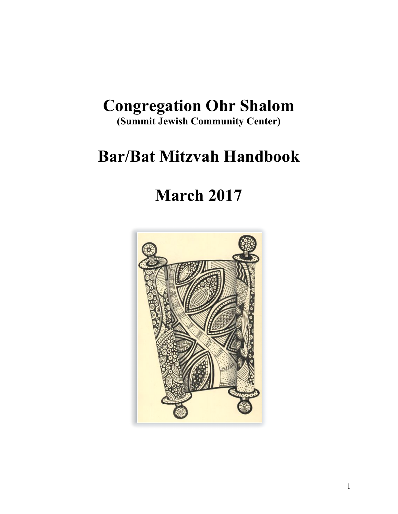## **Congregation Ohr Shalom**

**(Summit Jewish Community Center)**

# **Bar/Bat Mitzvah Handbook**

# **March 2017**

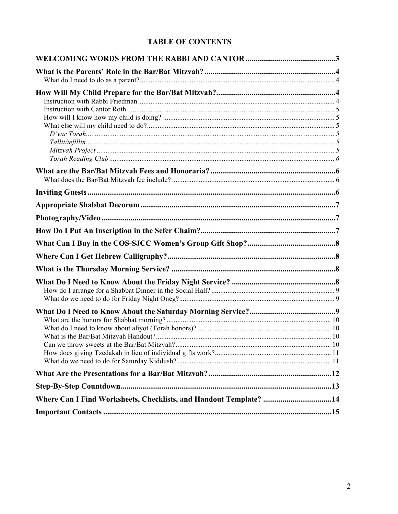## **TABLE OF CONTENTS**

| Where Can I Find Worksheets, Checklists, and Handout Template? 14 |  |
|-------------------------------------------------------------------|--|
|                                                                   |  |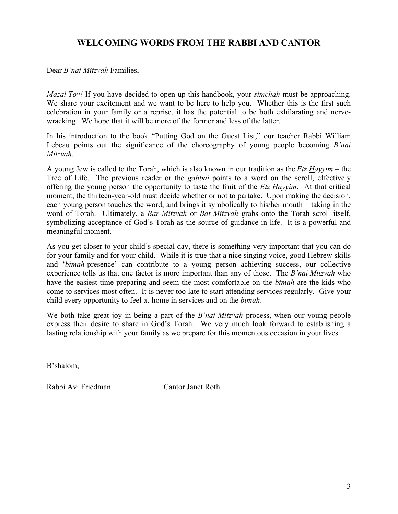## **WELCOMING WORDS FROM THE RABBI AND CANTOR**

Dear *B'nai Mitzvah* Families,

*Mazal Tov!* If you have decided to open up this handbook, your *simchah* must be approaching. We share your excitement and we want to be here to help you. Whether this is the first such celebration in your family or a reprise, it has the potential to be both exhilarating and nervewracking. We hope that it will be more of the former and less of the latter.

In his introduction to the book "Putting God on the Guest List," our teacher Rabbi William Lebeau points out the significance of the choreography of young people becoming *B'nai Mitzvah*.

A young Jew is called to the Torah, which is also known in our tradition as the *Etz Hayyim* – the Tree of Life. The previous reader or the *gabbai* points to a word on the scroll, effectively offering the young person the opportunity to taste the fruit of the *Etz Hayyim*. At that critical moment, the thirteen-year-old must decide whether or not to partake. Upon making the decision, each young person touches the word, and brings it symbolically to his/her mouth – taking in the word of Torah. Ultimately, a *Bar Mitzvah* or *Bat Mitzvah* grabs onto the Torah scroll itself, symbolizing acceptance of God's Torah as the source of guidance in life. It is a powerful and meaningful moment.

As you get closer to your child's special day, there is something very important that you can do for your family and for your child. While it is true that a nice singing voice, good Hebrew skills and '*bimah*-presence' can contribute to a young person achieving success, our collective experience tells us that one factor is more important than any of those. The *B'nai Mitzvah* who have the easiest time preparing and seem the most comfortable on the *bimah* are the kids who come to services most often. It is never too late to start attending services regularly. Give your child every opportunity to feel at-home in services and on the *bimah*.

We both take great joy in being a part of the *B'nai Mitzvah* process, when our young people express their desire to share in God's Torah. We very much look forward to establishing a lasting relationship with your family as we prepare for this momentous occasion in your lives.

B'shalom,

Rabbi Avi Friedman Cantor Janet Roth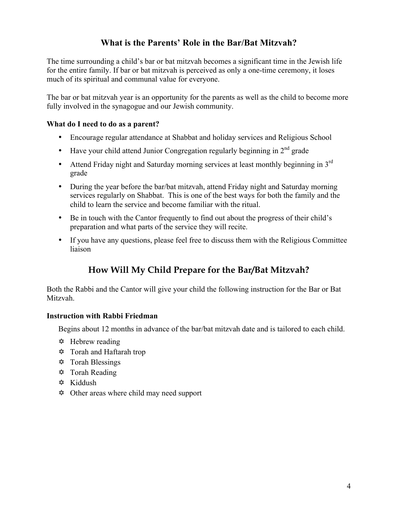## **What is the Parents' Role in the Bar/Bat Mitzvah?**

The time surrounding a child's bar or bat mitzvah becomes a significant time in the Jewish life for the entire family. If bar or bat mitzvah is perceived as only a one-time ceremony, it loses much of its spiritual and communal value for everyone.

The bar or bat mitzvah year is an opportunity for the parents as well as the child to become more fully involved in the synagogue and our Jewish community.

#### **What do I need to do as a parent?**

- Encourage regular attendance at Shabbat and holiday services and Religious School
- Have your child attend Junior Congregation regularly beginning in  $2<sup>nd</sup>$  grade
- Attend Friday night and Saturday morning services at least monthly beginning in 3<sup>rd</sup> grade
- During the year before the bar/bat mitzvah, attend Friday night and Saturday morning services regularly on Shabbat. This is one of the best ways for both the family and the child to learn the service and become familiar with the ritual.
- Be in touch with the Cantor frequently to find out about the progress of their child's preparation and what parts of the service they will recite.
- If you have any questions, please feel free to discuss them with the Religious Committee liaison

## **How Will My Child Prepare for the Bar/Bat Mitzvah?**

Both the Rabbi and the Cantor will give your child the following instruction for the Bar or Bat Mitzvah.

#### **Instruction with Rabbi Friedman**

Begins about 12 months in advance of the bar/bat mitzvah date and is tailored to each child.

- $\triangle$  Hebrew reading
- $\otimes$  Torah and Haftarah trop
- $\otimes$  Torah Blessings
- $\otimes$  Torah Reading
- $\otimes$  Kiddush
- $\triangle$  Other areas where child may need support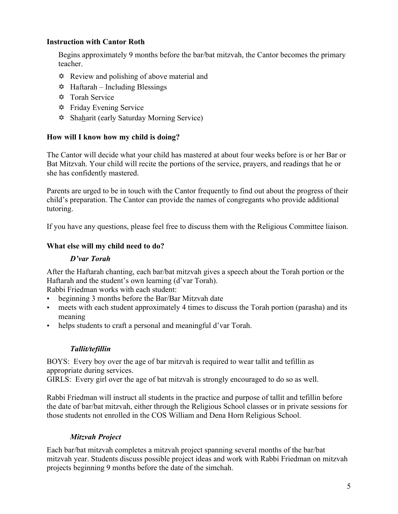#### **Instruction with Cantor Roth**

Begins approximately 9 months before the bar/bat mitzvah, the Cantor becomes the primary teacher.

- $\triangle$  Review and polishing of above material and
- $\triangle$  Haftarah Including Blessings
- $\otimes$  Torah Service
- Y Friday Evening Service
- Y Shaharit (early Saturday Morning Service)

#### **How will I know how my child is doing?**

The Cantor will decide what your child has mastered at about four weeks before is or her Bar or Bat Mitzvah. Your child will recite the portions of the service, prayers, and readings that he or she has confidently mastered.

Parents are urged to be in touch with the Cantor frequently to find out about the progress of their child's preparation. The Cantor can provide the names of congregants who provide additional tutoring.

If you have any questions, please feel free to discuss them with the Religious Committee liaison.

#### **What else will my child need to do?**

#### *D'var Torah*

After the Haftarah chanting, each bar/bat mitzvah gives a speech about the Torah portion or the Haftarah and the student's own learning (d'var Torah).

Rabbi Friedman works with each student:

- beginning 3 months before the Bar/Bar Mitzvah date
- meets with each student approximately 4 times to discuss the Torah portion (parasha) and its meaning
- helps students to craft a personal and meaningful d'var Torah.

#### *Tallit/tefillin*

BOYS: Every boy over the age of bar mitzvah is required to wear tallit and tefillin as appropriate during services.

GIRLS: Every girl over the age of bat mitzvah is strongly encouraged to do so as well.

Rabbi Friedman will instruct all students in the practice and purpose of tallit and tefillin before the date of bar/bat mitzvah, either through the Religious School classes or in private sessions for those students not enrolled in the COS William and Dena Horn Religious School.

#### *Mitzvah Project*

Each bar/bat mitzvah completes a mitzvah project spanning several months of the bar/bat mitzvah year. Students discuss possible project ideas and work with Rabbi Friedman on mitzvah projects beginning 9 months before the date of the simchah.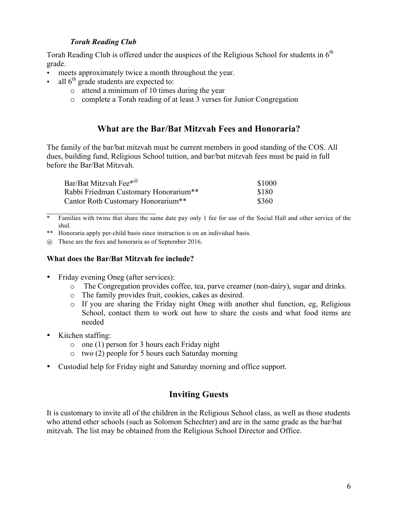#### *Torah Reading Club*

Torah Reading Club is offered under the auspices of the Religious School for students in  $6<sup>th</sup>$ grade.

- meets approximately twice a month throughout the year.
- all  $6<sup>th</sup>$  grade students are expected to:
	- o attend a minimum of 10 times during the year
	- o complete a Torah reading of at least 3 verses for Junior Congregation

### **What are the Bar/Bat Mitzvah Fees and Honoraria?**

The family of the bar/bat mitzvah must be current members in good standing of the COS. All dues, building fund, Religious School tuition, and bar/bat mitzvah fees must be paid in full before the Bar/Bat Mitzvah.

| Bar/Bat Mitzvah Fee $*^{(\alpha)}$             | \$1000 |
|------------------------------------------------|--------|
| Rabbi Friedman Customary Honorarium**          | \$180  |
| Cantor Roth Customary Honorarium <sup>**</sup> | \$360  |

\* Families with twins that share the same date pay only 1 fee for use of the Social Hall and other service of the shul.

\*\* Honoraria apply per-child basis since instruction is on an individual basis.

@ These are the fees and honoraria as of September 2016.

#### **What does the Bar/Bat Mitzvah fee include?**

• Friday evening Oneg (after services):

\_\_\_\_\_\_\_\_\_\_\_\_\_\_\_\_\_\_\_\_\_\_\_\_\_\_\_\_

- o The Congregation provides coffee, tea, parve creamer (non-dairy), sugar and drinks.
- o The family provides fruit, cookies, cakes as desired.
- o If you are sharing the Friday night Oneg with another shul function, eg, Religious School, contact them to work out how to share the costs and what food items are needed
- Kitchen staffing:
	- o one (1) person for 3 hours each Friday night
	- o two (2) people for 5 hours each Saturday morning
- Custodial help for Friday night and Saturday morning and office support.

## **Inviting Guests**

It is customary to invite all of the children in the Religious School class, as well as those students who attend other schools (such as Solomon Schechter) and are in the same grade as the bar/bat mitzvah. The list may be obtained from the Religious School Director and Office.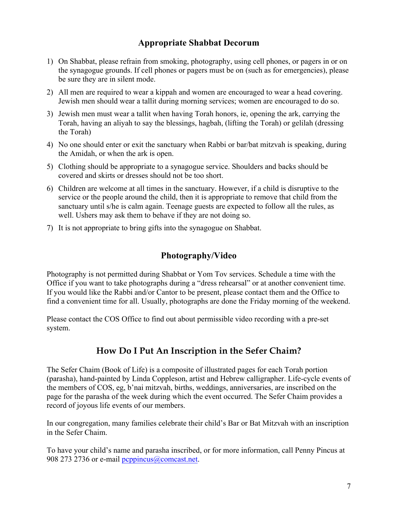## **Appropriate Shabbat Decorum**

- 1) On Shabbat, please refrain from smoking, photography, using cell phones, or pagers in or on the synagogue grounds. If cell phones or pagers must be on (such as for emergencies), please be sure they are in silent mode.
- 2) All men are required to wear a kippah and women are encouraged to wear a head covering. Jewish men should wear a tallit during morning services; women are encouraged to do so.
- 3) Jewish men must wear a tallit when having Torah honors, ie, opening the ark, carrying the Torah, having an aliyah to say the blessings, hagbah, (lifting the Torah) or gelilah (dressing the Torah)
- 4) No one should enter or exit the sanctuary when Rabbi or bar/bat mitzvah is speaking, during the Amidah, or when the ark is open.
- 5) Clothing should be appropriate to a synagogue service. Shoulders and backs should be covered and skirts or dresses should not be too short.
- 6) Children are welcome at all times in the sanctuary. However, if a child is disruptive to the service or the people around the child, then it is appropriate to remove that child from the sanctuary until s/he is calm again. Teenage guests are expected to follow all the rules, as well. Ushers may ask them to behave if they are not doing so.
- 7) It is not appropriate to bring gifts into the synagogue on Shabbat.

## **Photography/Video**

Photography is not permitted during Shabbat or Yom Tov services. Schedule a time with the Office if you want to take photographs during a "dress rehearsal" or at another convenient time. If you would like the Rabbi and/or Cantor to be present, please contact them and the Office to find a convenient time for all. Usually, photographs are done the Friday morning of the weekend.

Please contact the COS Office to find out about permissible video recording with a pre-set system.

## **How Do I Put An Inscription in the Sefer Chaim?**

The Sefer Chaim (Book of Life) is a composite of illustrated pages for each Torah portion (parasha), hand-painted by Linda Coppleson, artist and Hebrew calligrapher. Life-cycle events of the members of COS, eg, b'nai mitzvah, births, weddings, anniversaries, are inscribed on the page for the parasha of the week during which the event occurred. The Sefer Chaim provides a record of joyous life events of our members.

In our congregation, many families celebrate their child's Bar or Bat Mitzvah with an inscription in the Sefer Chaim.

To have your child's name and parasha inscribed, or for more information, call Penny Pincus at 908 273 2736 or e-mail peppincus@comcast.net.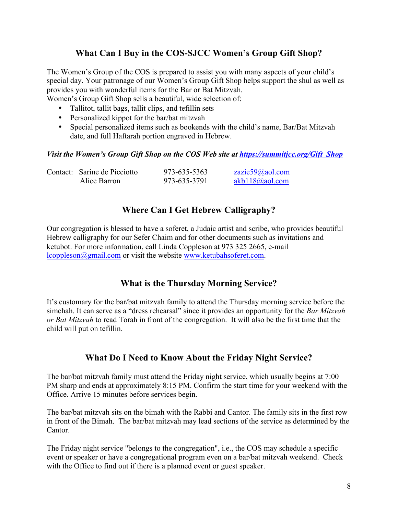## **What Can I Buy in the COS-SJCC Women's Group Gift Shop?**

The Women's Group of the COS is prepared to assist you with many aspects of your child's special day. Your patronage of our Women's Group Gift Shop helps support the shul as well as provides you with wonderful items for the Bar or Bat Mitzvah.

Women's Group Gift Shop sells a beautiful, wide selection of:

- Tallitot, tallit bags, tallit clips, and tefillin sets
- Personalized kippot for the bar/bat mitzvah
- Special personalized items such as bookends with the child's name, Bar/Bat Mitzvah date, and full Haftarah portion engraved in Hebrew.

#### *Visit the Women's Group Gift Shop on the COS Web site at https://summitjcc.org/Gift\_Shop*

| Contact: Sarine de Picciotto | 973-635-5363 | zazie59@aol.com |
|------------------------------|--------------|-----------------|
| Alice Barron                 | 973-635-3791 | akb118@aol.com  |

## **Where Can I Get Hebrew Calligraphy?**

Our congregation is blessed to have a soferet, a Judaic artist and scribe, who provides beautiful Hebrew calligraphy for our Sefer Chaim and for other documents such as invitations and ketubot. For more information, call Linda Coppleson at 973 325 2665, e-mail lcoppleson@gmail.com or visit the website www.ketubahsoferet.com.

### **What is the Thursday Morning Service?**

It's customary for the bar/bat mitzvah family to attend the Thursday morning service before the simchah. It can serve as a "dress rehearsal" since it provides an opportunity for the *Bar Mitzvah or Bat Mitzvah* to read Torah in front of the congregation. It will also be the first time that the child will put on tefillin.

#### **What Do I Need to Know About the Friday Night Service?**

The bar/bat mitzvah family must attend the Friday night service, which usually begins at 7:00 PM sharp and ends at approximately 8:15 PM. Confirm the start time for your weekend with the Office. Arrive 15 minutes before services begin.

The bar/bat mitzvah sits on the bimah with the Rabbi and Cantor. The family sits in the first row in front of the Bimah. The bar/bat mitzvah may lead sections of the service as determined by the Cantor.

The Friday night service "belongs to the congregation", i.e., the COS may schedule a specific event or speaker or have a congregational program even on a bar/bat mitzvah weekend. Check with the Office to find out if there is a planned event or guest speaker.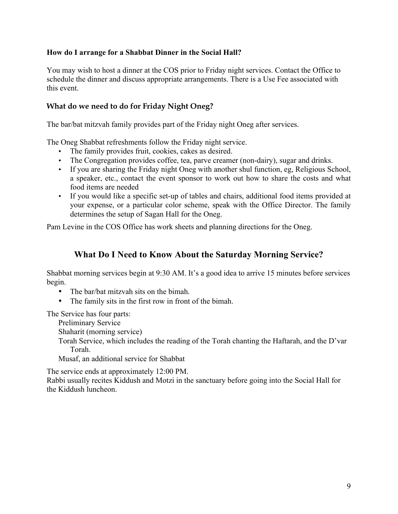#### **How do I arrange for a Shabbat Dinner in the Social Hall?**

You may wish to host a dinner at the COS prior to Friday night services. Contact the Office to schedule the dinner and discuss appropriate arrangements. There is a Use Fee associated with this event.

#### **What do we need to do for Friday Night Oneg?**

The bar/bat mitzvah family provides part of the Friday night Oneg after services.

The Oneg Shabbat refreshments follow the Friday night service.

- The family provides fruit, cookies, cakes as desired.
- The Congregation provides coffee, tea, parve creamer (non-dairy), sugar and drinks.
- If you are sharing the Friday night Oneg with another shul function, eg, Religious School, a speaker, etc., contact the event sponsor to work out how to share the costs and what food items are needed
- If you would like a specific set-up of tables and chairs, additional food items provided at your expense, or a particular color scheme, speak with the Office Director. The family determines the setup of Sagan Hall for the Oneg.

Pam Levine in the COS Office has work sheets and planning directions for the Oneg.

## **What Do I Need to Know About the Saturday Morning Service?**

Shabbat morning services begin at 9:30 AM. It's a good idea to arrive 15 minutes before services begin.

- The bar/bat mitzvah sits on the bimah.
- The family sits in the first row in front of the bimah.

The Service has four parts:

Preliminary Service

Shaharit (morning service)

Torah Service, which includes the reading of the Torah chanting the Haftarah, and the D'var Torah.

Musaf, an additional service for Shabbat

The service ends at approximately 12:00 PM.

Rabbi usually recites Kiddush and Motzi in the sanctuary before going into the Social Hall for the Kiddush luncheon.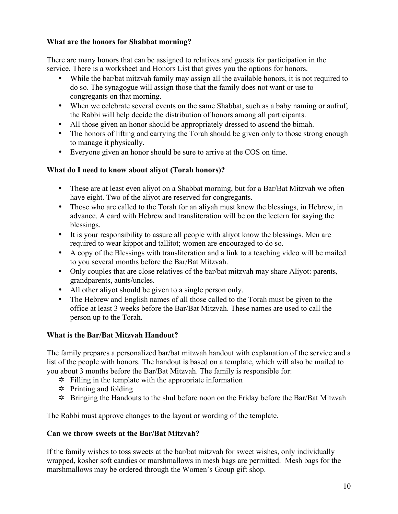#### **What are the honors for Shabbat morning?**

There are many honors that can be assigned to relatives and guests for participation in the service. There is a worksheet and Honors List that gives you the options for honors.

- While the bar/bat mitzvah family may assign all the available honors, it is not required to do so. The synagogue will assign those that the family does not want or use to congregants on that morning.
- When we celebrate several events on the same Shabbat, such as a baby naming or aufruf, the Rabbi will help decide the distribution of honors among all participants.
- All those given an honor should be appropriately dressed to ascend the bimah.
- The honors of lifting and carrying the Torah should be given only to those strong enough to manage it physically.
- Everyone given an honor should be sure to arrive at the COS on time.

#### **What do I need to know about aliyot (Torah honors)?**

- These are at least even aliyot on a Shabbat morning, but for a Bar/Bat Mitzvah we often have eight. Two of the aliyot are reserved for congregants.
- Those who are called to the Torah for an aliyah must know the blessings, in Hebrew, in advance. A card with Hebrew and transliteration will be on the lectern for saying the blessings.
- It is your responsibility to assure all people with aliyot know the blessings. Men are required to wear kippot and tallitot; women are encouraged to do so.
- A copy of the Blessings with transliteration and a link to a teaching video will be mailed to you several months before the Bar/Bat Mitzvah.
- Only couples that are close relatives of the bar/bat mitzvah may share Aliyot: parents, grandparents, aunts/uncles.
- All other aliyot should be given to a single person only.
- The Hebrew and English names of all those called to the Torah must be given to the office at least 3 weeks before the Bar/Bat Mitzvah. These names are used to call the person up to the Torah.

#### **What is the Bar/Bat Mitzvah Handout?**

The family prepares a personalized bar/bat mitzvah handout with explanation of the service and a list of the people with honors. The handout is based on a template, which will also be mailed to you about 3 months before the Bar/Bat Mitzvah. The family is responsible for:

- $\ddot{\varphi}$  Filling in the template with the appropriate information
- $\triangle$  Printing and folding
- $\hat{\varphi}$  Bringing the Handouts to the shul before noon on the Friday before the Bar/Bat Mitzvah

The Rabbi must approve changes to the layout or wording of the template.

#### **Can we throw sweets at the Bar/Bat Mitzvah?**

If the family wishes to toss sweets at the bar/bat mitzvah for sweet wishes, only individually wrapped, kosher soft candies or marshmallows in mesh bags are permitted. Mesh bags for the marshmallows may be ordered through the Women's Group gift shop.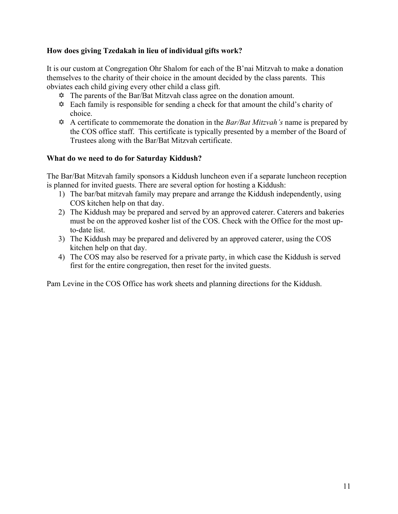#### **How does giving Tzedakah in lieu of individual gifts work?**

It is our custom at Congregation Ohr Shalom for each of the B'nai Mitzvah to make a donation themselves to the charity of their choice in the amount decided by the class parents. This obviates each child giving every other child a class gift.

- $\hat{\varphi}$  The parents of the Bar/Bat Mitzvah class agree on the donation amount.
- $\hat{\varphi}$  Each family is responsible for sending a check for that amount the child's charity of choice.
- Y A certificate to commemorate the donation in the *Bar/Bat Mitzvah's* name is prepared by the COS office staff. This certificate is typically presented by a member of the Board of Trustees along with the Bar/Bat Mitzvah certificate.

#### **What do we need to do for Saturday Kiddush?**

The Bar/Bat Mitzvah family sponsors a Kiddush luncheon even if a separate luncheon reception is planned for invited guests. There are several option for hosting a Kiddush:

- 1) The bar/bat mitzvah family may prepare and arrange the Kiddush independently, using COS kitchen help on that day.
- 2) The Kiddush may be prepared and served by an approved caterer. Caterers and bakeries must be on the approved kosher list of the COS. Check with the Office for the most upto-date list.
- 3) The Kiddush may be prepared and delivered by an approved caterer, using the COS kitchen help on that day.
- 4) The COS may also be reserved for a private party, in which case the Kiddush is served first for the entire congregation, then reset for the invited guests.

Pam Levine in the COS Office has work sheets and planning directions for the Kiddush.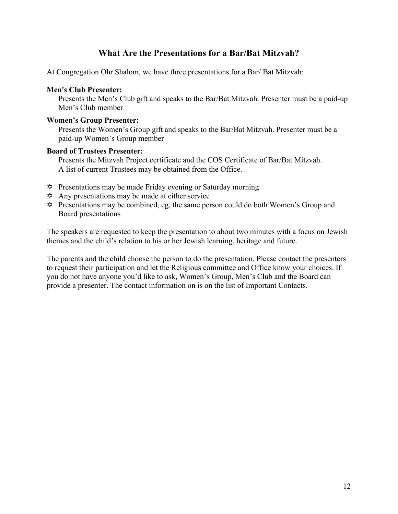## **What Are the Presentations for a Bar/Bat Mitzvah?**

At Congregation Ohr Shalom, we have three presentations for a Bar/ Bat Mitzvah:

#### **Men's Club Presenter:**

Presents the Men's Club gift and speaks to the Bar/Bat Mitzvah. Presenter must be a paid-up Men's Club member

#### **Women's Group Presenter:**

Presents the Women's Group gift and speaks to the Bar/Bat Mitzvah. Presenter must be a paid-up Women's Group member

#### **Board of Trustees Presenter:**

Presents the Mitzvah Project certificate and the COS Certificate of Bar/Bat Mitzvah. A list of current Trustees may be obtained from the Office.

- $\triangle$  Presentations may be made Friday evening or Saturday morning
- $\triangle$  Any presentations may be made at either service
- $\hat{\varphi}$  Presentations may be combined, eg, the same person could do both Women's Group and Board presentations

The speakers are requested to keep the presentation to about two minutes with a focus on Jewish themes and the child's relation to his or her Jewish learning, heritage and future.

The parents and the child choose the person to do the presentation. Please contact the presenters to request their participation and let the Religious committee and Office know your choices. If you do not have anyone you'd like to ask, Women's Group, Men's Club and the Board can provide a presenter. The contact information on is on the list of Important Contacts.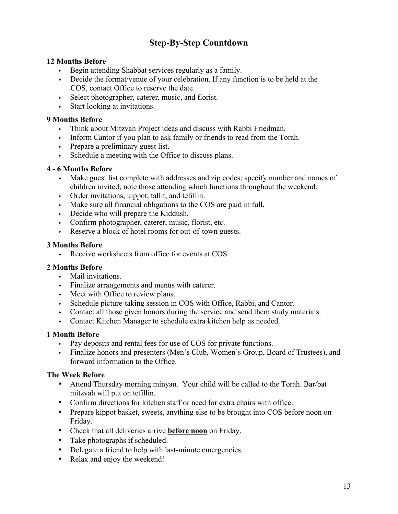## **Step-By-Step Countdown**

#### **12 Months Before**

- Begin attending Shabbat services regularly as a family.
- Decide the format/venue of your celebration. If any function is to be held at the COS, contact Office to reserve the date.
- Select photographer, caterer, music, and florist.
- $\cdot$  Start looking at invitations.

#### **9 Months Before**

- Think about Mitzvah Project ideas and discuss with Rabbi Friedman.
- Inform Cantor if you plan to ask family or friends to read from the Torah.
- Prepare a preliminary guest list.
- Schedule a meeting with the Office to discuss plans.

#### **4 - 6 Months Before**

- Make guest list complete with addresses and zip codes; specify number and names of children invited; note those attending which functions throughout the weekend.
- $\cdot$  Order invitations, kippot, tallit, and tefillin.
- In Make sure all financial obligations to the COS are paid in full.
- $\cdot$  Decide who will prepare the Kiddush.
- Confirm photographer, caterer, music, florist, etc.
- Reserve a block of hotel rooms for out-of-town guests.

#### **3 Months Before**

Receive worksheets from office for events at  $\cos$ .

#### **2 Months Before**

- $\cdot$  Mail invitations.
- Finalize arrangements and menus with caterer.
- $\cdot$  Meet with Office to review plans.
- <sup>w</sup> Schedule picture-taking session in COS with Office, Rabbi, and Cantor.
- <sup>w</sup> Contact all those given honors during the service and send them study materials.
- Contact Kitchen Manager to schedule extra kitchen help as needed.

#### **1 Month Before**

- Pay deposits and rental fees for use of COS for private functions.
- <sup>w</sup> Finalize honors and presenters (Men's Club, Women's Group, Board of Trustees), and forward information to the Office.

#### **The Week Before**

- Attend Thursday morning minyan. Your child will be called to the Torah. Bar/bat mitzvah will put on tefillin.
- Confirm directions for kitchen staff or need for extra chairs with office.
- Prepare kippot basket, sweets, anything else to be brought into COS before noon on Friday.
- Check that all deliveries arrive **before noon** on Friday.
- Take photographs if scheduled.
- Delegate a friend to help with last-minute emergencies.
- Relax and enjoy the weekend!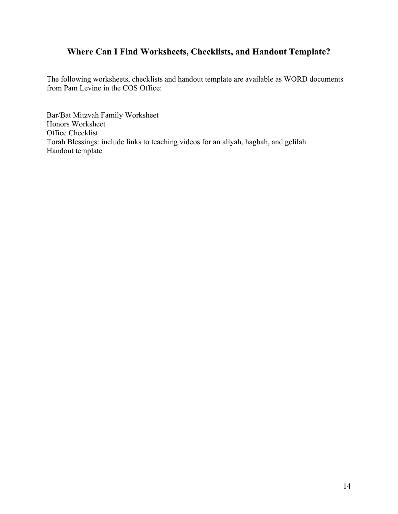## **Where Can I Find Worksheets, Checklists, and Handout Template?**

The following worksheets, checklists and handout template are available as WORD documents from Pam Levine in the COS Office:

Bar/Bat Mitzvah Family Worksheet Honors Worksheet Office Checklist Torah Blessings: include links to teaching videos for an aliyah, hagbah, and gelilah Handout template